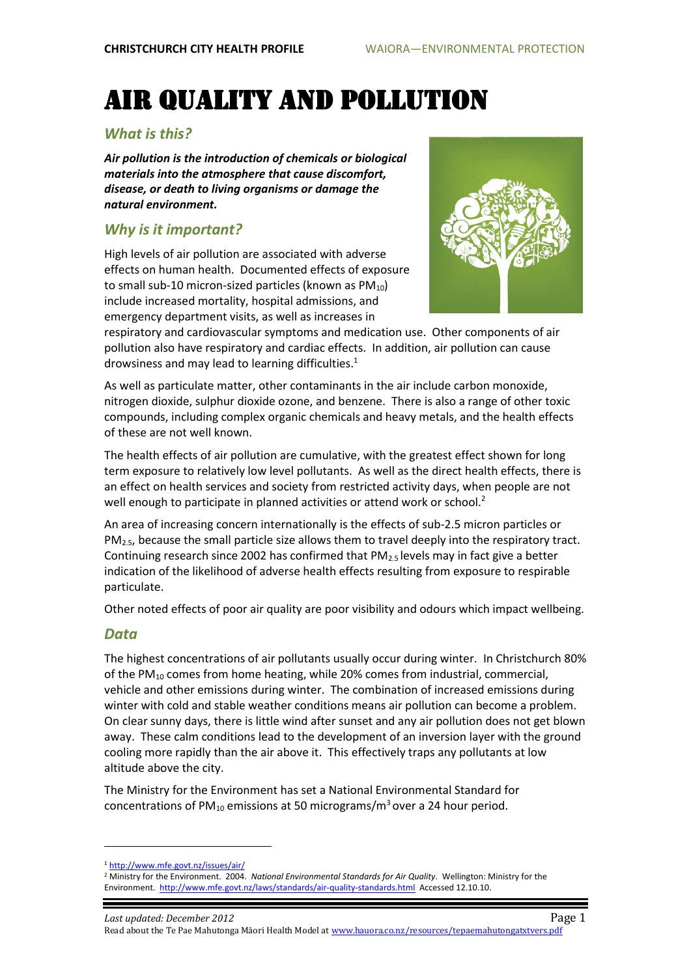# Air quality and Pollution

# *What is this?*

*Air pollution is the introduction of chemicals or biological materials into the atmosphere that cause discomfort, disease, or death to living organisms or damage the natural environment.*

# *Why is it important?*

High levels of air pollution are associated with adverse effects on human health. Documented effects of exposure to small sub-10 micron-sized particles (known as  $PM_{10}$ ) include increased mortality, hospital admissions, and emergency department visits, as well as increases in



respiratory and cardiovascular symptoms and medication use. Other components of air pollution also have respiratory and cardiac effects. In addition, air pollution can cause drowsiness and may lead to learning difficulties. $1$ 

As well as particulate matter, other contaminants in the air include carbon monoxide, nitrogen dioxide, sulphur dioxide ozone, and benzene. There is also a range of other toxic compounds, including complex organic chemicals and heavy metals, and the health effects of these are not well known.

The health effects of air pollution are cumulative, with the greatest effect shown for long term exposure to relatively low level pollutants. As well as the direct health effects, there is an effect on health services and society from restricted activity days, when people are not well enough to participate in planned activities or attend work or school.<sup>2</sup>

An area of increasing concern internationally is the effects of sub-2.5 micron particles or  $PM<sub>2.5</sub>$ , because the small particle size allows them to travel deeply into the respiratory tract. Continuing research since 2002 has confirmed that  $PM_{2.5}$  levels may in fact give a better indication of the likelihood of adverse health effects resulting from exposure to respirable particulate.

Other noted effects of poor air quality are poor visibility and odours which impact wellbeing.

#### *Data*

 $\ddot{\phantom{a}}$ 

The highest concentrations of air pollutants usually occur during winter. In Christchurch 80% of the PM<sup>10</sup> comes from home heating, while 20% comes from industrial, commercial, vehicle and other emissions during winter. The combination of increased emissions during winter with cold and stable weather conditions means air pollution can become a problem. On clear sunny days, there is little wind after sunset and any air pollution does not get blown away. These calm conditions lead to the development of an inversion layer with the ground cooling more rapidly than the air above it. This effectively traps any pollutants at low altitude above the city.

The Ministry for the Environment has set a National Environmental Standard for concentrations of  $PM_{10}$  emissions at 50 micrograms/m<sup>3</sup> over a 24 hour period.

<sup>1</sup> <http://www.mfe.govt.nz/issues/air/>

<sup>2</sup> Ministry for the Environment. 2004. *National Environmental Standards for Air Quality*. Wellington: Ministry for the Environment.<http://www.mfe.govt.nz/laws/standards/air-quality-standards.html> Accessed 12.10.10.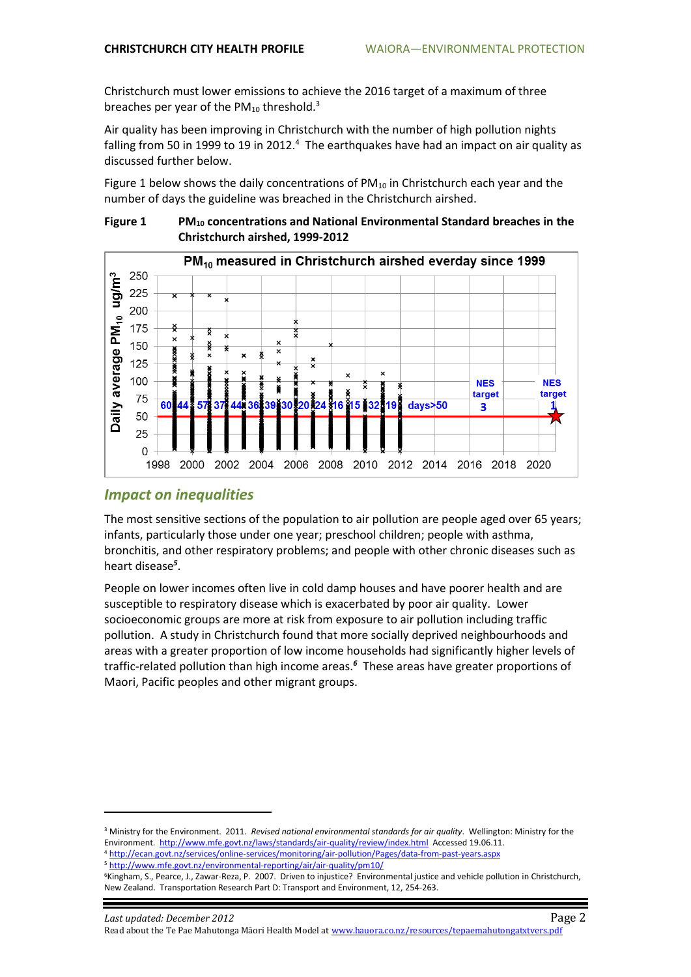Christchurch must lower emissions to achieve the 2016 target of a maximum of three breaches per year of the  $PM_{10}$  threshold.<sup>3</sup>

Air quality has been improving in Christchurch with the number of high pollution nights falling from 50 in 1999 to 19 in 2012.<sup>4</sup> The earthquakes have had an impact on air quality as discussed further below.

Figure 1 below shows the daily concentrations of  $PM_{10}$  in Christchurch each year and the number of days the guideline was breached in the Christchurch airshed.



**Figure 1 PM<sup>10</sup> concentrations and National Environmental Standard breaches in the Christchurch airshed, 1999-2012**

## *Impact on inequalities*

 $\ddot{\phantom{a}}$ 

The most sensitive sections of the population to air pollution are people aged over 65 years; infants, particularly those under one year; preschool children; people with asthma, bronchitis, and other respiratory problems; and people with other chronic diseases such as heart disease*<sup>5</sup>* .

People on lower incomes often live in cold damp houses and have poorer health and are susceptible to respiratory disease which is exacerbated by poor air quality. Lower socioeconomic groups are more at risk from exposure to air pollution including traffic pollution. A study in Christchurch found that more socially deprived neighbourhoods and areas with a greater proportion of low income households had significantly higher levels of traffic-related pollution than high income areas.*<sup>6</sup>* These areas have greater proportions of Maori, Pacific peoples and other migrant groups.

<sup>3</sup> Ministry for the Environment. 2011. *Revised national environmental standards for air quality*. Wellington: Ministry for the Environment.<http://www.mfe.govt.nz/laws/standards/air-quality/review/index.html>Accessed 19.06.11.

<sup>4</sup> <http://ecan.govt.nz/services/online-services/monitoring/air-pollution/Pages/data-from-past-years.aspx> <sup>5</sup> <http://www.mfe.govt.nz/environmental-reporting/air/air-quality/pm10/>

<sup>6</sup>Kingham, S., Pearce, J., Zawar-Reza, P. 2007. Driven to injustice? Environmental justice and vehicle pollution in Christchurch, New Zealand. Transportation Research Part D: Transport and Environment, 12, 254-263.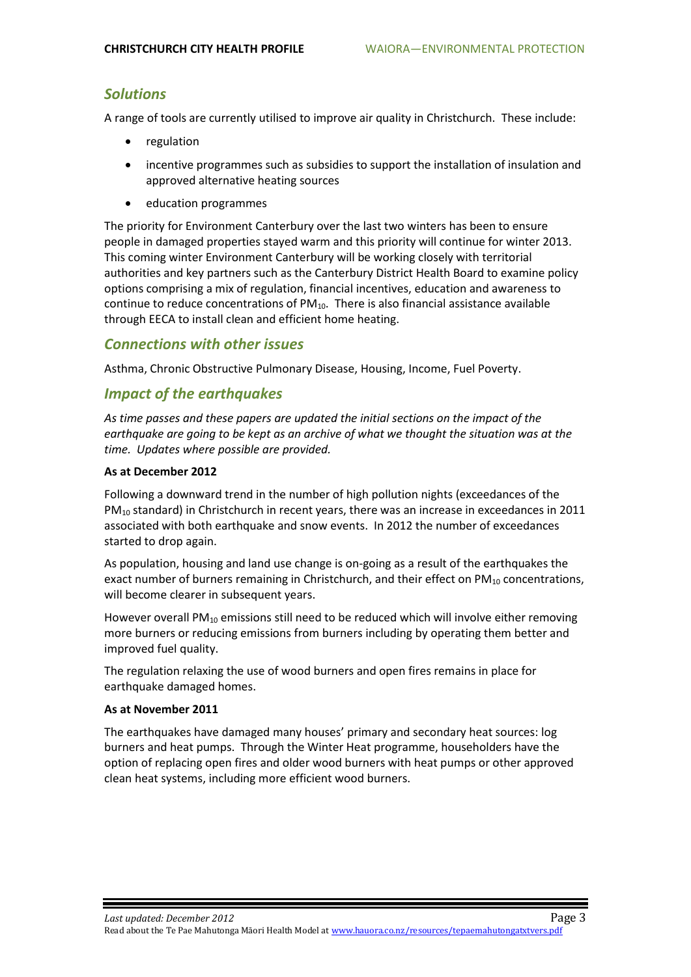## *Solutions*

A range of tools are currently utilised to improve air quality in Christchurch. These include:

- regulation
- incentive programmes such as subsidies to support the installation of insulation and approved alternative heating sources
- education programmes

The priority for Environment Canterbury over the last two winters has been to ensure people in damaged properties stayed warm and this priority will continue for winter 2013. This coming winter Environment Canterbury will be working closely with territorial authorities and key partners such as the Canterbury District Health Board to examine policy options comprising a mix of regulation, financial incentives, education and awareness to continue to reduce concentrations of  $PM_{10}$ . There is also financial assistance available through EECA to install clean and efficient home heating.

#### *Connections with other issues*

Asthma, Chronic Obstructive Pulmonary Disease, Housing, Income, Fuel Poverty.

## *Impact of the earthquakes*

*As time passes and these papers are updated the initial sections on the impact of the earthquake are going to be kept as an archive of what we thought the situation was at the time. Updates where possible are provided.*

#### **As at December 2012**

Following a downward trend in the number of high pollution nights (exceedances of the  $PM_{10}$  standard) in Christchurch in recent years, there was an increase in exceedances in 2011 associated with both earthquake and snow events. In 2012 the number of exceedances started to drop again.

As population, housing and land use change is on-going as a result of the earthquakes the exact number of burners remaining in Christchurch, and their effect on  $PM_{10}$  concentrations, will become clearer in subsequent years.

However overall PM<sup>10</sup> emissions still need to be reduced which will involve either removing more burners or reducing emissions from burners including by operating them better and improved fuel quality.

The regulation relaxing the use of wood burners and open fires remains in place for earthquake damaged homes.

#### **As at November 2011**

The earthquakes have damaged many houses' primary and secondary heat sources: log burners and heat pumps. Through the Winter Heat programme, householders have the option of replacing open fires and older wood burners with heat pumps or other approved clean heat systems, including more efficient wood burners.